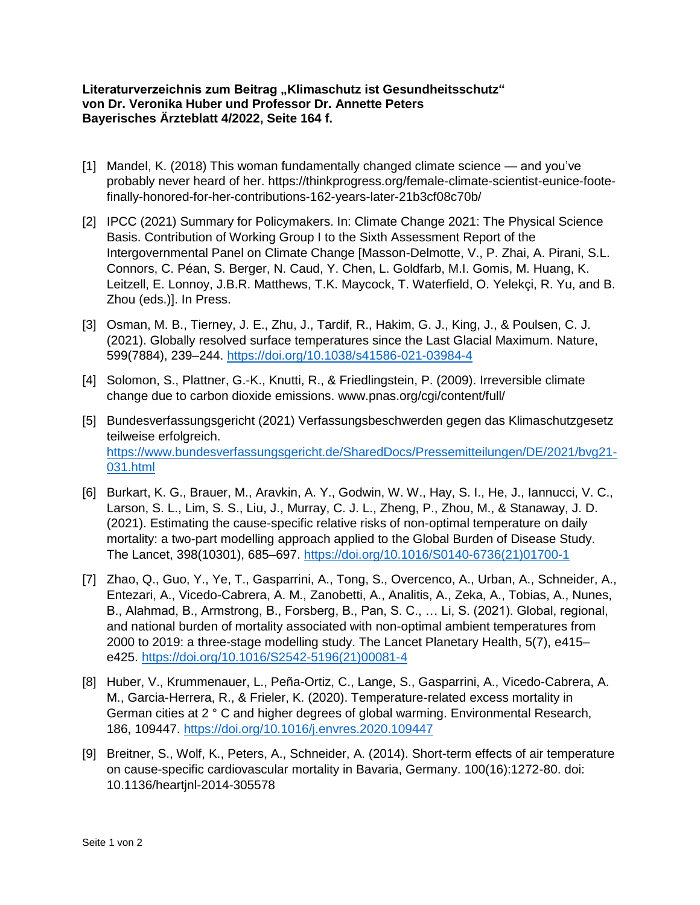## Literaturverzeichnis zum Beitrag "Klimaschutz ist Gesundheitsschutz" **von Dr. Veronika Huber und Professor Dr. Annette Peters Bayerisches Ärzteblatt 4/2022, Seite 164 f.**

- [1] Mandel, K. (2018) This woman fundamentally changed climate science and you've probably never heard of her. https://thinkprogress.org/female-climate-scientist-eunice-footefinally-honored-for-her-contributions-162-years-later-21b3cf08c70b/
- [2] IPCC (2021) Summary for Policymakers. In: Climate Change 2021: The Physical Science Basis. Contribution of Working Group I to the Sixth Assessment Report of the Intergovernmental Panel on Climate Change [Masson-Delmotte, V., P. Zhai, A. Pirani, S.L. Connors, C. Péan, S. Berger, N. Caud, Y. Chen, L. Goldfarb, M.I. Gomis, M. Huang, K. Leitzell, E. Lonnoy, J.B.R. Matthews, T.K. Maycock, T. Waterfield, O. Yelekçi, R. Yu, and B. Zhou (eds.)]. In Press.
- [3] Osman, M. B., Tierney, J. E., Zhu, J., Tardif, R., Hakim, G. J., King, J., & Poulsen, C. J. (2021). Globally resolved surface temperatures since the Last Glacial Maximum. Nature, 599(7884), 239–244.<https://doi.org/10.1038/s41586-021-03984-4>
- [4] Solomon, S., Plattner, G.-K., Knutti, R., & Friedlingstein, P. (2009). Irreversible climate change due to carbon dioxide emissions. www.pnas.org/cgi/content/full/
- [5] Bundesverfassungsgericht (2021) Verfassungsbeschwerden gegen das Klimaschutzgesetz teilweise erfolgreich. [https://www.bundesverfassungsgericht.de/SharedDocs/Pressemitteilungen/DE/2021/bvg21-](https://www.bundesverfassungsgericht.de/SharedDocs/Pressemitteilungen/DE/2021/bvg21-031.html) [031.html](https://www.bundesverfassungsgericht.de/SharedDocs/Pressemitteilungen/DE/2021/bvg21-031.html)
- [6] Burkart, K. G., Brauer, M., Aravkin, A. Y., Godwin, W. W., Hay, S. I., He, J., Iannucci, V. C., Larson, S. L., Lim, S. S., Liu, J., Murray, C. J. L., Zheng, P., Zhou, M., & Stanaway, J. D. (2021). Estimating the cause-specific relative risks of non-optimal temperature on daily mortality: a two-part modelling approach applied to the Global Burden of Disease Study. The Lancet, 398(10301), 685–697. [https://doi.org/10.1016/S0140-6736\(21\)01700-1](https://doi.org/10.1016/S0140-6736(21)01700-1)
- [7] Zhao, Q., Guo, Y., Ye, T., Gasparrini, A., Tong, S., Overcenco, A., Urban, A., Schneider, A., Entezari, A., Vicedo-Cabrera, A. M., Zanobetti, A., Analitis, A., Zeka, A., Tobias, A., Nunes, B., Alahmad, B., Armstrong, B., Forsberg, B., Pan, S. C., … Li, S. (2021). Global, regional, and national burden of mortality associated with non-optimal ambient temperatures from 2000 to 2019: a three-stage modelling study. The Lancet Planetary Health, 5(7), e415– e425. [https://doi.org/10.1016/S2542-5196\(21\)00081-4](https://doi.org/10.1016/S2542-5196(21)00081-4)
- [8] Huber, V., Krummenauer, L., Peña-Ortiz, C., Lange, S., Gasparrini, A., Vicedo-Cabrera, A. M., Garcia-Herrera, R., & Frieler, K. (2020). Temperature-related excess mortality in German cities at 2 ° C and higher degrees of global warming. Environmental Research, 186, 109447.<https://doi.org/10.1016/j.envres.2020.109447>
- [9] Breitner, S., Wolf, K., Peters, A., Schneider, A. (2014). Short-term effects of air temperature on cause-specific cardiovascular mortality in Bavaria, Germany. 100(16):1272-80. doi: 10.1136/heartjnl-2014-305578